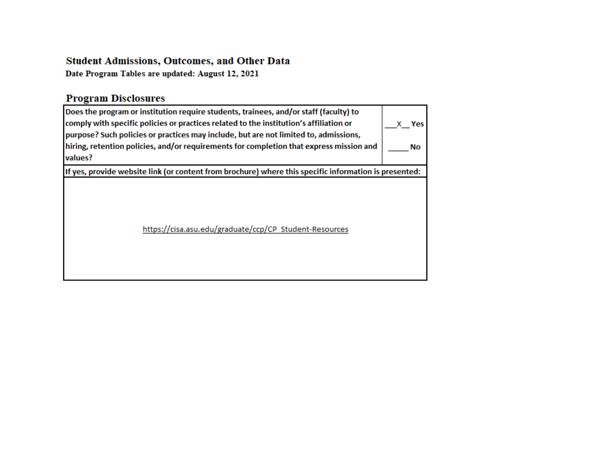### **Student Admissions, Outcomes, and Other Data**

Date Program Tables are updated: August 12, 2021

# **Program Disclosures**

| Does the program or institution require students, trainees, and/or staff (faculty) to<br>comply with specific policies or practices related to the institution's affiliation or<br>purpose? Such policies or practices may include, but are not limited to, admissions,<br>hiring, retention policies, and/or requirements for completion that express mission and<br>values? | Yes<br>No |
|-------------------------------------------------------------------------------------------------------------------------------------------------------------------------------------------------------------------------------------------------------------------------------------------------------------------------------------------------------------------------------|-----------|
| If yes, provide website link (or content from brochure) where this specific information is presented:                                                                                                                                                                                                                                                                         |           |
| https://cisa.asu.edu/graduate/ccp/CP Student-Resources                                                                                                                                                                                                                                                                                                                        |           |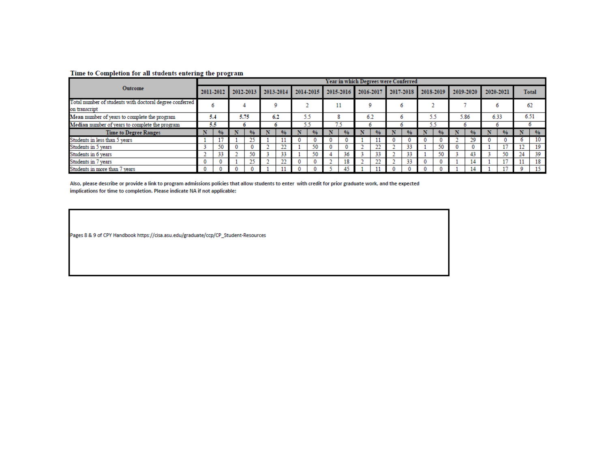#### Time to Completion for all students entering the program

|                                                                          |           |    |           |    |           |    |           |     |    | Year in which Degrees were Conferred |  |           |         |           |    |               |      |           |           |               |              |               |  |
|--------------------------------------------------------------------------|-----------|----|-----------|----|-----------|----|-----------|-----|----|--------------------------------------|--|-----------|---------|-----------|----|---------------|------|-----------|-----------|---------------|--------------|---------------|--|
| Outcome                                                                  | 2011-2012 |    | 2012-2013 |    | 2013-2014 |    | 2014-2015 |     |    | 2015-2016                            |  | 2016-2017 |         | 2017-2018 |    | 2018-2019     |      | 2019-2020 | 2020-2021 |               | <b>Total</b> |               |  |
| Total number of students with doctoral degree conferred<br>on transcript |           | Ð  |           |    |           | ۵  |           |     |    | 11                                   |  |           |         | 6         |    |               |      |           |           |               |              | 62            |  |
| Mean number of years to complete the program                             | 5.4       |    | 5.75      |    | 6.2       |    |           | 5.5 |    | 6.2<br>8                             |  |           | $\circ$ |           | 55 |               | 5.86 |           | 6.33      |               | 6.51         |               |  |
| Median number of years to complete the program                           | 5.5       |    | n         |    | o         |    | 5.5       |     | 75 |                                      |  |           | o       |           | 55 |               |      |           |           |               | o            |               |  |
| <b>Time to Degree Ranges</b>                                             |           | %  |           |    |           |    |           |     |    |                                      |  |           |         | %         |    | $\frac{9}{6}$ |      | %         |           | $\frac{9}{6}$ |              | $\frac{0}{6}$ |  |
| Students in less than 5 years                                            |           |    |           |    |           |    | U         |     |    |                                      |  |           |         |           |    | $\bf{0}$      |      | 29        |           |               |              | 10            |  |
| Students in 5 years                                                      |           | 50 | 0         |    |           | n. |           | 50  |    |                                      |  | 22        |         | 33        |    | 50            |      |           |           | 17            | 12           | 19            |  |
| Students in 6 years                                                      |           | 55 |           | 50 |           | 33 |           | 50  |    | 36                                   |  | 33        |         | 33        |    | 50            |      | 43        |           | 50            | 24           | 39            |  |
| Students in 7 years                                                      |           |    |           | ne |           | n. | 0         |     |    | 18                                   |  | 22        |         | 33        |    | 0             |      | 14        |           | 17            |              | 18            |  |
| Students in more than 7 years                                            |           |    |           |    |           |    |           |     |    | 45                                   |  |           |         |           |    | $\Omega$      |      |           |           |               |              | 15            |  |

Also, please describe or provide a link to program admissions policies that allow students to enter with credit for prior graduate work, and the expected implications for time to completion. Please indicate NA if not applicable:

Pages 8 & 9 of CPY Handbook https://cisa.asu.edu/graduate/ccp/CP\_Student-Resources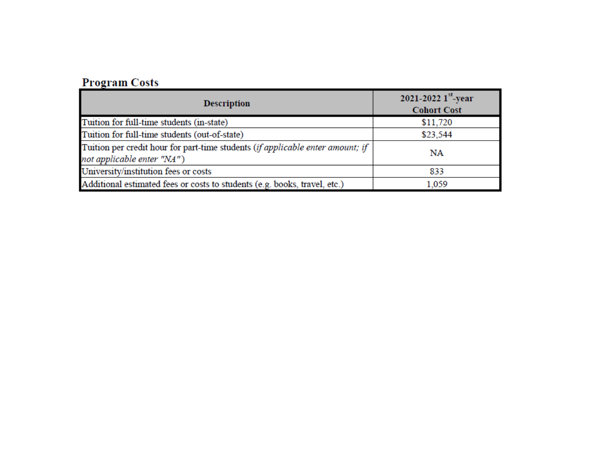## **Program Costs**

| <b>Description</b>                                                                                           | 2021-2022 $1^{st}$ -year<br><b>Cohort Cost</b> |
|--------------------------------------------------------------------------------------------------------------|------------------------------------------------|
| Tuition for full-time students (in-state)                                                                    | \$11,720                                       |
| Tuition for full-time students (out-of-state)                                                                | \$23,544                                       |
| Tuition per credit hour for part-time students (if applicable enter amount; if<br>not applicable enter "NA") | NA                                             |
| University/institution fees or costs                                                                         | 833                                            |
| Additional estimated fees or costs to students (e.g. books, travel, etc.)                                    | 1.059                                          |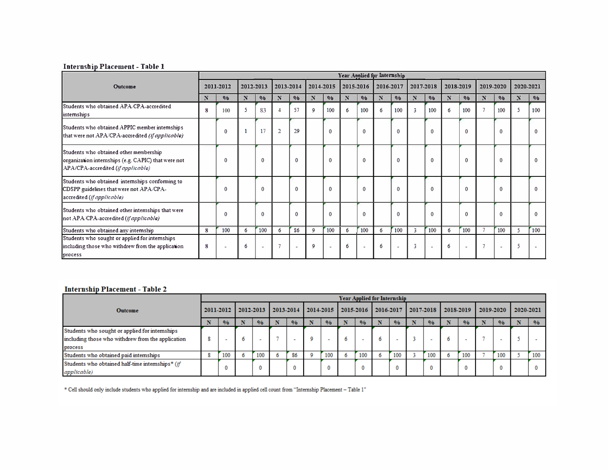#### **I nterns h" 1p Pl acement- T a bl el**

|                                                                                                                                     |   |               |   |                          |                |                          |             |                          |   |               | Year Applied for Internship |                          |   |               |              |                          |   |                          |                |               |
|-------------------------------------------------------------------------------------------------------------------------------------|---|---------------|---|--------------------------|----------------|--------------------------|-------------|--------------------------|---|---------------|-----------------------------|--------------------------|---|---------------|--------------|--------------------------|---|--------------------------|----------------|---------------|
| Outcome                                                                                                                             |   | 2011-2012     |   | 2012-2013                |                | 2013-2014                |             | 2014-2015                |   | 2015-2016     |                             | 2016-2017                |   | 2017-2018     |              | 2018-2019                |   | 2019-2020                | 2020-2021      |               |
|                                                                                                                                     | N | $\frac{0}{0}$ | N | $\frac{0}{0}$            | N              | $\frac{0}{0}$            | N           | $\frac{0}{0}$            | N | $\frac{0}{0}$ | N                           | $\frac{0}{0}$            | N | $\frac{0}{0}$ | $\mathbf{x}$ | $\frac{0}{0}$            | N | $\frac{0}{0}$            | $\mathbf x$    | $\frac{0}{0}$ |
| Students who obtained APA/CPA-accredited<br>internships                                                                             | 8 | 100           |   | 83                       |                | 57                       | $\mathbf 9$ | 100                      | 6 | 100           | 6                           | 100                      | 3 | 100           | 6            | 100                      |   | 100                      |                | 100           |
| Students who obtained APPIC member internships<br>that were not APA/CPA-accredited (if applicable)                                  |   | 0             |   | 17                       | $\overline{2}$ | 29                       |             | $\Omega$                 |   | $\Omega$      |                             | $\mathbf{0}$             |   | $\mathbf{0}$  |              | $\mathbf{0}$             |   | $\Omega$                 |                | $\mathbf{0}$  |
| Students who obtained other membership<br>organization internships (e.g. CAPIC) that were not<br>APA/CPA-accredited (if applicable) |   | $\Omega$      |   | $\mathbf{0}$             |                | $\mathbf{0}$             |             | $\mathbf{0}$             |   | 0             |                             | $\mathbf{0}$             |   | $\Omega$      |              | $\Omega$                 |   | $\Omega$                 |                | 0             |
| Students who obtained internships conforming to<br>CDSPP guidelines that were not APA/CPA-<br>accredited (if applicable)            |   | 0             |   | $\Omega$                 |                | $\mathbf{0}$             |             | $\Omega$                 |   | $\Omega$      |                             | $\mathbf{0}$             |   | $\Omega$      |              | $\theta$                 |   | $\theta$                 |                | O             |
| Students who obtained other internships that were<br>not APA/CPA-accredited (if applicable)                                         |   | 0             |   | $\Omega$                 |                | $\mathbf{0}$             |             | $\Omega$                 |   | $\Omega$      |                             | $\Omega$                 |   | $\Omega$      |              | $\Omega$                 |   | $\Omega$                 |                | O             |
| Students who obtained any intemship                                                                                                 | 8 | 100           | 6 | 100                      | 6              | \$6                      | 9           | 100                      | 6 | 100           | 6                           | 100                      | 3 | 100           | 6            | 100                      |   | 100                      | 5              | 100           |
| Students who sought or applied for internships<br>including those who withdrew from the application<br>process                      | 8 |               | 6 | $\overline{\phantom{a}}$ |                | $\overline{\phantom{a}}$ | 9           | $\overline{\phantom{a}}$ | 6 |               | 6                           | $\overline{\phantom{a}}$ | 3 |               | 6            | $\overline{\phantom{a}}$ |   | $\overline{\phantom{a}}$ | $\overline{5}$ |               |

#### **Internship Placement - Table 2**

|                                                   |  |               |   |                               |    |               |   |               |    |               | <b>Year Applied for Internship</b> |               |  |               |           |               |           |               |           |               |
|---------------------------------------------------|--|---------------|---|-------------------------------|----|---------------|---|---------------|----|---------------|------------------------------------|---------------|--|---------------|-----------|---------------|-----------|---------------|-----------|---------------|
| <b>Outcome</b>                                    |  | 2011-2012     |   | $12012 - 2013$ $12013 - 2014$ |    |               |   | 2014-2015     |    | 2015-2016     |                                    | 2016-2017     |  | 2017-2018     | 2018-2019 |               | 2019-2020 |               | 2020-2021 |               |
|                                                   |  | $\frac{0}{6}$ |   | $\frac{6}{6}$                 |    | $\frac{9}{6}$ |   | $\frac{0}{6}$ |    | $\frac{0}{6}$ |                                    | $\frac{0}{0}$ |  | $\frac{9}{6}$ |           | $\frac{0}{6}$ |           | $\frac{0}{0}$ |           | $\frac{0}{6}$ |
| Students who sought or applied for internships    |  |               |   |                               |    |               |   |               |    |               |                                    |               |  |               |           |               |           |               |           |               |
| including those who withdrew from the application |  | -             | o |                               |    |               | ٥ | ۰.            | Ō. |               | n                                  |               |  |               |           | $\sim$        |           |               |           |               |
| process                                           |  |               |   |                               |    |               |   |               |    |               |                                    |               |  |               |           |               |           |               |           |               |
| Students who obtained paid internships            |  | 100           |   | 100                           | b. | 86            |   | 100           | O. | 100           |                                    | 100           |  | 100           |           | 100           |           | 100           |           | 100           |
| Students who obtained half-time internships* (if  |  | 0             |   | $\bf{0}$                      |    | 0             |   | 0             |    | $\mathbf 0$   |                                    |               |  |               |           | $\bf{0}$      |           |               |           |               |
| <i>applicable</i> )                               |  |               |   |                               |    |               |   |               |    |               |                                    |               |  |               |           |               |           |               |           |               |

\* Cell should only include students who applied for internship and are included in applied cell count from "Internship Placement - Table 1"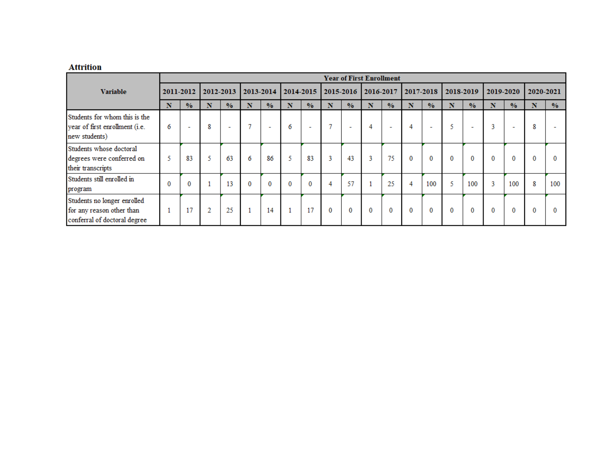### **Attrition**

|                                                                                          |           |                          |           |               |                 |                          |           |                          |           |                          | <b>Year of First Enrollment</b> |                          |           |                          |           |                          |           |                          |           |               |
|------------------------------------------------------------------------------------------|-----------|--------------------------|-----------|---------------|-----------------|--------------------------|-----------|--------------------------|-----------|--------------------------|---------------------------------|--------------------------|-----------|--------------------------|-----------|--------------------------|-----------|--------------------------|-----------|---------------|
| <b>Variable</b>                                                                          | 2011-2012 |                          | 2012-2013 |               | 2013-2014       |                          | 2014-2015 |                          | 2015-2016 |                          | 2016-2017                       |                          | 2017-2018 |                          | 2018-2019 |                          | 2019-2020 |                          | 2020-2021 |               |
|                                                                                          | N         | $\frac{0}{0}$            | N         | $\frac{0}{0}$ | N               | $\frac{0}{0}$            | N         | $\frac{0}{0}$            | N         | $\frac{0}{0}$            | N                               | $\frac{0}{0}$            | N         | $\frac{0}{0}$            | N         | $\frac{0}{0}$            | N         | $\frac{0}{0}$            | Ñ         | $\frac{0}{0}$ |
| Students for whom this is the<br>year of first enrollment (i.e.<br>new students)         | 6         | $\overline{\phantom{a}}$ | 8         | ٠             | $\mathbf{\tau}$ | $\overline{\phantom{a}}$ | 6         | $\overline{\phantom{a}}$ | o         | $\overline{\phantom{a}}$ | 4                               | $\overline{\phantom{a}}$ | 4         | $\overline{\phantom{a}}$ |           | $\overline{\phantom{a}}$ | 3         | $\overline{\phantom{a}}$ | 8         |               |
| Students whose doctoral<br>degrees were conferred on<br>their transcripts                | 5         | 83                       | 5         | 63            | 6               | 86                       | 5         | 83                       | 3         | 43                       | 3                               | 75                       | 0         | $\mathbf 0$              | $\bf{0}$  | $\bf{0}$                 | $\bf{0}$  | 0                        | 0         | 0             |
| Students still enrolled in<br>program                                                    | $\bf{0}$  | $\bf{0}$                 |           | 13            | $\bf{0}$        | $\bf{0}$                 | 0         | $\mathbf 0$              | 4         | 57                       |                                 | 25                       | 4         | 100                      |           | 100                      | 3         | 100                      | 8         | 100           |
| Students no longer enrolled<br>for any reason other than<br>conferral of doctoral degree | п         | 17                       | 2         | 25            |                 | 14                       |           | 17                       | 0         | $\mathbf 0$              | 0                               | $\mathbf 0$              | 0         | $\mathbf 0$              | $\bf{0}$  | $\bf{0}$                 | $\bf{0}$  | 0                        | 0         | 0             |